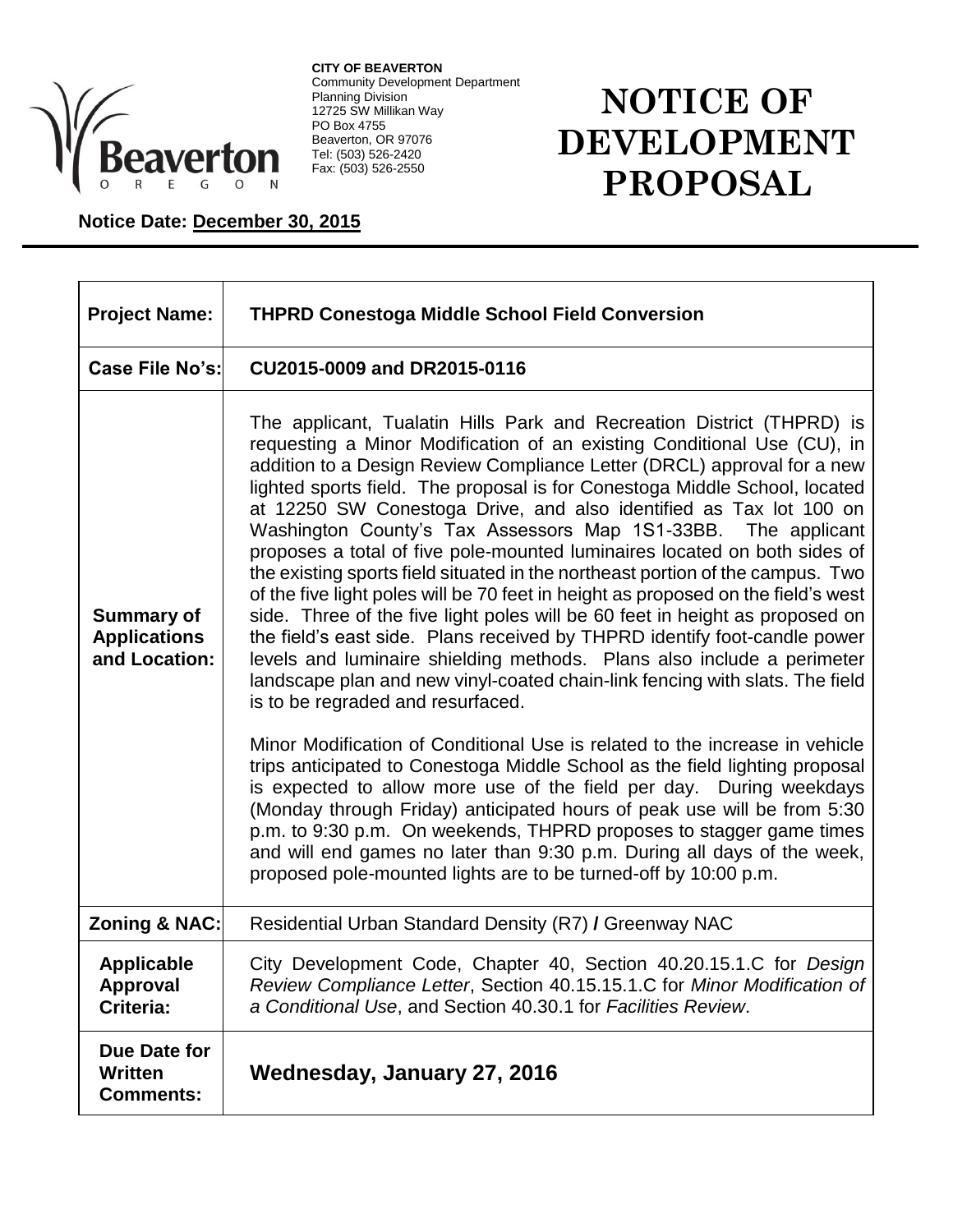

**CITY OF BEAVERTON** Community Development Department Planning Division 12725 SW Millikan Way PO Box 4755 Beaverton, OR 97076 Tel: (503) 526-2420 Fax: (503) 526-2550

## **NOTICE OF DEVELOPMENT PROPOSAL**

## **Notice Date: December 30, 2015**

| <b>Project Name:</b>                                      | <b>THPRD Conestoga Middle School Field Conversion</b>                                                                                                                                                                                                                                                                                                                                                                                                                                                                                                                                                                                                                                                                                                                                                                                                                                                                                                                                                                                                                                                                                                                                                                                                                                                                                                                                                                                                                                                                                                                                                    |
|-----------------------------------------------------------|----------------------------------------------------------------------------------------------------------------------------------------------------------------------------------------------------------------------------------------------------------------------------------------------------------------------------------------------------------------------------------------------------------------------------------------------------------------------------------------------------------------------------------------------------------------------------------------------------------------------------------------------------------------------------------------------------------------------------------------------------------------------------------------------------------------------------------------------------------------------------------------------------------------------------------------------------------------------------------------------------------------------------------------------------------------------------------------------------------------------------------------------------------------------------------------------------------------------------------------------------------------------------------------------------------------------------------------------------------------------------------------------------------------------------------------------------------------------------------------------------------------------------------------------------------------------------------------------------------|
| Case File No's:                                           | CU2015-0009 and DR2015-0116                                                                                                                                                                                                                                                                                                                                                                                                                                                                                                                                                                                                                                                                                                                                                                                                                                                                                                                                                                                                                                                                                                                                                                                                                                                                                                                                                                                                                                                                                                                                                                              |
| <b>Summary of</b><br><b>Applications</b><br>and Location: | The applicant, Tualatin Hills Park and Recreation District (THPRD) is<br>requesting a Minor Modification of an existing Conditional Use (CU), in<br>addition to a Design Review Compliance Letter (DRCL) approval for a new<br>lighted sports field. The proposal is for Conestoga Middle School, located<br>at 12250 SW Conestoga Drive, and also identified as Tax lot 100 on<br>Washington County's Tax Assessors Map 1S1-33BB.<br>The applicant<br>proposes a total of five pole-mounted luminaires located on both sides of<br>the existing sports field situated in the northeast portion of the campus. Two<br>of the five light poles will be 70 feet in height as proposed on the field's west<br>side. Three of the five light poles will be 60 feet in height as proposed on<br>the field's east side. Plans received by THPRD identify foot-candle power<br>levels and luminaire shielding methods. Plans also include a perimeter<br>landscape plan and new vinyl-coated chain-link fencing with slats. The field<br>is to be regraded and resurfaced.<br>Minor Modification of Conditional Use is related to the increase in vehicle<br>trips anticipated to Conestoga Middle School as the field lighting proposal<br>is expected to allow more use of the field per day. During weekdays<br>(Monday through Friday) anticipated hours of peak use will be from 5:30<br>p.m. to 9:30 p.m. On weekends, THPRD proposes to stagger game times<br>and will end games no later than 9:30 p.m. During all days of the week,<br>proposed pole-mounted lights are to be turned-off by 10:00 p.m. |
| <b>Zoning &amp; NAC:</b>                                  | Residential Urban Standard Density (R7) / Greenway NAC                                                                                                                                                                                                                                                                                                                                                                                                                                                                                                                                                                                                                                                                                                                                                                                                                                                                                                                                                                                                                                                                                                                                                                                                                                                                                                                                                                                                                                                                                                                                                   |
| <b>Applicable</b><br><b>Approval</b><br>Criteria:         | City Development Code, Chapter 40, Section 40.20.15.1.C for Design<br>Review Compliance Letter, Section 40.15.15.1.C for Minor Modification of<br>a Conditional Use, and Section 40.30.1 for Facilities Review.                                                                                                                                                                                                                                                                                                                                                                                                                                                                                                                                                                                                                                                                                                                                                                                                                                                                                                                                                                                                                                                                                                                                                                                                                                                                                                                                                                                          |
| Due Date for<br><b>Written</b><br><b>Comments:</b>        | Wednesday, January 27, 2016                                                                                                                                                                                                                                                                                                                                                                                                                                                                                                                                                                                                                                                                                                                                                                                                                                                                                                                                                                                                                                                                                                                                                                                                                                                                                                                                                                                                                                                                                                                                                                              |